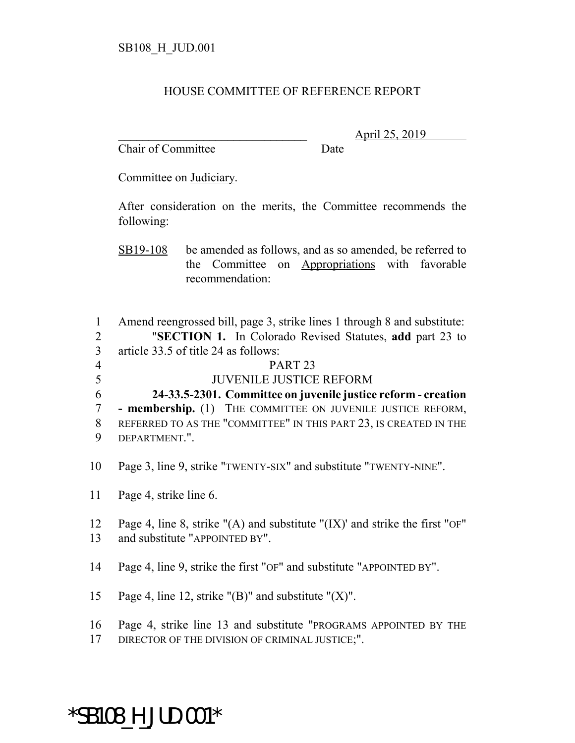## HOUSE COMMITTEE OF REFERENCE REPORT

Chair of Committee Date

\_\_\_\_\_\_\_\_\_\_\_\_\_\_\_\_\_\_\_\_\_\_\_\_\_\_\_\_\_\_\_ April 25, 2019

Committee on Judiciary.

After consideration on the merits, the Committee recommends the following:

SB19-108 be amended as follows, and as so amended, be referred to the Committee on Appropriations with favorable recommendation:

 Amend reengrossed bill, page 3, strike lines 1 through 8 and substitute: "**SECTION 1.** In Colorado Revised Statutes, **add** part 23 to article 33.5 of title 24 as follows: 4 PART 23 JUVENILE JUSTICE REFORM **24-33.5-2301. Committee on juvenile justice reform - creation - membership.** (1) THE COMMITTEE ON JUVENILE JUSTICE REFORM, REFERRED TO AS THE "COMMITTEE" IN THIS PART 23, IS CREATED IN THE DEPARTMENT.".

10 Page 3, line 9, strike "TWENTY-SIX" and substitute "TWENTY-NINE".

11 Page 4, strike line 6.

12 Page 4, line 8, strike "(A) and substitute "(IX)' and strike the first "OF" 13 and substitute "APPOINTED BY".

14 Page 4, line 9, strike the first "OF" and substitute "APPOINTED BY".

15 Page 4, line 12, strike " $(B)$ " and substitute " $(X)$ ".

16 Page 4, strike line 13 and substitute "PROGRAMS APPOINTED BY THE

17 DIRECTOR OF THE DIVISION OF CRIMINAL JUSTICE;".

## \*SB108\_H\_JUD.001\*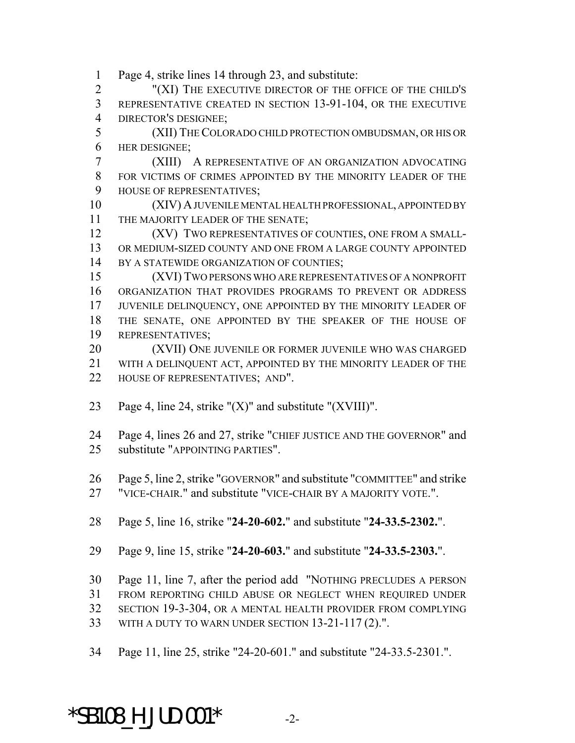Page 4, strike lines 14 through 23, and substitute:

 "(XI) THE EXECUTIVE DIRECTOR OF THE OFFICE OF THE CHILD'S REPRESENTATIVE CREATED IN SECTION 13-91-104, OR THE EXECUTIVE DIRECTOR'S DESIGNEE;

 (XII) THE COLORADO CHILD PROTECTION OMBUDSMAN, OR HIS OR HER DESIGNEE;

 (XIII) A REPRESENTATIVE OF AN ORGANIZATION ADVOCATING FOR VICTIMS OF CRIMES APPOINTED BY THE MINORITY LEADER OF THE HOUSE OF REPRESENTATIVES;

 (XIV) A JUVENILE MENTAL HEALTH PROFESSIONAL, APPOINTED BY 11 THE MAJORITY LEADER OF THE SENATE;

**(XV) TWO REPRESENTATIVES OF COUNTIES, ONE FROM A SMALL-** OR MEDIUM-SIZED COUNTY AND ONE FROM A LARGE COUNTY APPOINTED 14 BY A STATEWIDE ORGANIZATION OF COUNTIES;

 (XVI) TWO PERSONS WHO ARE REPRESENTATIVES OF A NONPROFIT ORGANIZATION THAT PROVIDES PROGRAMS TO PREVENT OR ADDRESS JUVENILE DELINQUENCY, ONE APPOINTED BY THE MINORITY LEADER OF THE SENATE, ONE APPOINTED BY THE SPEAKER OF THE HOUSE OF REPRESENTATIVES;

 (XVII) ONE JUVENILE OR FORMER JUVENILE WHO WAS CHARGED WITH A DELINQUENT ACT, APPOINTED BY THE MINORITY LEADER OF THE 22 HOUSE OF REPRESENTATIVES; AND".

23 Page 4, line 24, strike " $(X)$ " and substitute " $(XVIII)$ ".

 Page 4, lines 26 and 27, strike "CHIEF JUSTICE AND THE GOVERNOR" and substitute "APPOINTING PARTIES".

Page 5, line 2, strike "GOVERNOR" and substitute "COMMITTEE" and strike

"VICE-CHAIR." and substitute "VICE-CHAIR BY A MAJORITY VOTE.".

Page 5, line 16, strike "**24-20-602.**" and substitute "**24-33.5-2302.**".

Page 9, line 15, strike "**24-20-603.**" and substitute "**24-33.5-2303.**".

Page 11, line 7, after the period add "NOTHING PRECLUDES A PERSON

FROM REPORTING CHILD ABUSE OR NEGLECT WHEN REQUIRED UNDER

SECTION 19-3-304, OR A MENTAL HEALTH PROVIDER FROM COMPLYING

WITH A DUTY TO WARN UNDER SECTION 13-21-117 (2).".

Page 11, line 25, strike "24-20-601." and substitute "24-33.5-2301.".

 $*$ SB108 H JUD.001 $*$  -2-